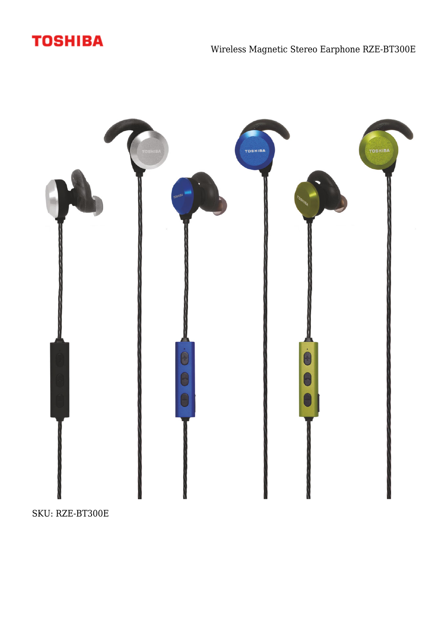



SKU: RZE-BT300E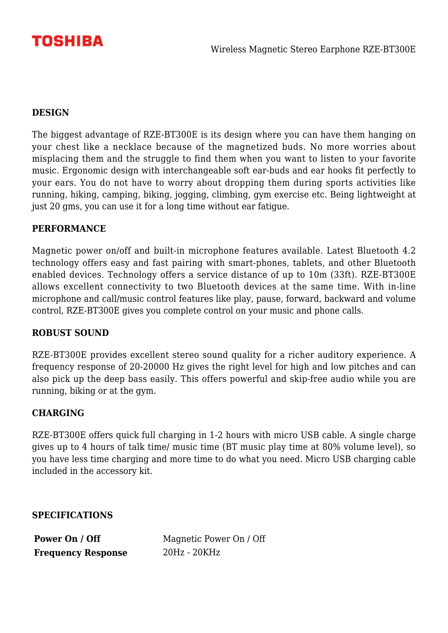

## **DESIGN**

The biggest advantage of RZE-BT300E is its design where you can have them hanging on your chest like a necklace because of the magnetized buds. No more worries about misplacing them and the struggle to find them when you want to listen to your favorite music. Ergonomic design with interchangeable soft ear-buds and ear hooks fit perfectly to your ears. You do not have to worry about dropping them during sports activities like running, hiking, camping, biking, jogging, climbing, gym exercise etc. Being lightweight at just 20 gms, you can use it for a long time without ear fatigue.

#### **PERFORMANCE**

Magnetic power on/off and built-in microphone features available. Latest Bluetooth 4.2 technology offers easy and fast pairing with smart-phones, tablets, and other Bluetooth enabled devices. Technology offers a service distance of up to 10m (33ft). RZE-BT300E allows excellent connectivity to two Bluetooth devices at the same time. With in-line microphone and call/music control features like play, pause, forward, backward and volume control, RZE-BT300E gives you complete control on your music and phone calls.

### **ROBUST SOUND**

RZE-BT300E provides excellent stereo sound quality for a richer auditory experience. A frequency response of 20-20000 Hz gives the right level for high and low pitches and can also pick up the deep bass easily. This offers powerful and skip-free audio while you are running, biking or at the gym.

### **CHARGING**

RZE-BT300E offers quick full charging in 1-2 hours with micro USB cable. A single charge gives up to 4 hours of talk time/ music time (BT music play time at 80% volume level), so you have less time charging and more time to do what you need. Micro USB charging cable included in the accessory kit.

**SPECIFICATIONS**

**Frequency Response** 20Hz - 20KHz

**Power On / Off** Magnetic Power On / Off